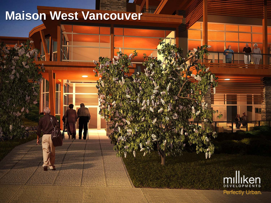## **Maison West Vancouver**

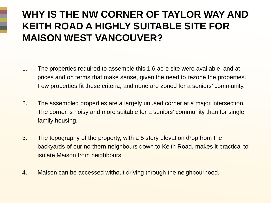## **WHY IS THE NW CORNER OF TAYLOR WAY AND KEITH ROAD A HIGHLY SUITABLE SITE FOR MAISON WEST VANCOUVER?**

- 1. The properties required to assemble this 1.6 acre site were available, and at prices and on terms that make sense, given the need to rezone the properties. Few properties fit these criteria, and none are zoned for a seniors' community.
- 2. The assembled properties are a largely unused corner at a major intersection. The corner is noisy and more suitable for a seniors' community than for single family housing.
- 3. The topography of the property, with a 5 story elevation drop from the backyards of our northern neighbours down to Keith Road, makes it practical to isolate Maison from neighbours.
- 4. Maison can be accessed without driving through the neighbourhood.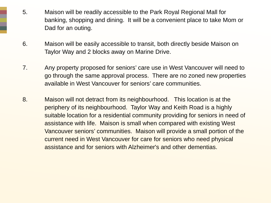- 5. Maison will be readily accessible to the Park Royal Regional Mall for banking, shopping and dining. It will be a convenient place to take Mom or Dad for an outing.
- 6. Maison will be easily accessible to transit, both directly beside Maison on Taylor Way and 2 blocks away on Marine Drive.
- 7. Any property proposed for seniors' care use in West Vancouver will need to go through the same approval process. There are no zoned new properties available in West Vancouver for seniors' care communities.
- 8. Maison will not detract from its neighbourhood. This location is at the periphery of its neighbourhood. Taylor Way and Keith Road is a highly suitable location for a residential community providing for seniors in need of assistance with life. Maison is small when compared with existing West Vancouver seniors' communities. Maison will provide a small portion of the current need in West Vancouver for care for seniors who need physical assistance and for seniors with Alzheimer's and other dementias.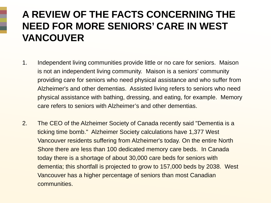## **A REVIEW OF THE FACTS CONCERNING THE NEED FOR MORE SENIORS' CARE IN WEST VANCOUVER**

- 1. Independent living communities provide little or no care for seniors. Maison is not an independent living community. Maison is a seniors' community providing care for seniors who need physical assistance and who suffer from Alzheimer's and other dementias. Assisted living refers to seniors who need physical assistance with bathing, dressing, and eating, for example. Memory care refers to seniors with Alzheimer's and other dementias.
- 2. The CEO of the Alzheimer Society of Canada recently said "Dementia is a ticking time bomb." Alzheimer Society calculations have 1,377 West Vancouver residents suffering from Alzheimer's today. On the entire North Shore there are less than 100 dedicated memory care beds. In Canada today there is a shortage of about 30,000 care beds for seniors with dementia; this shortfall is projected to grow to 157,000 beds by 2038. West Vancouver has a higher percentage of seniors than most Canadian communities.